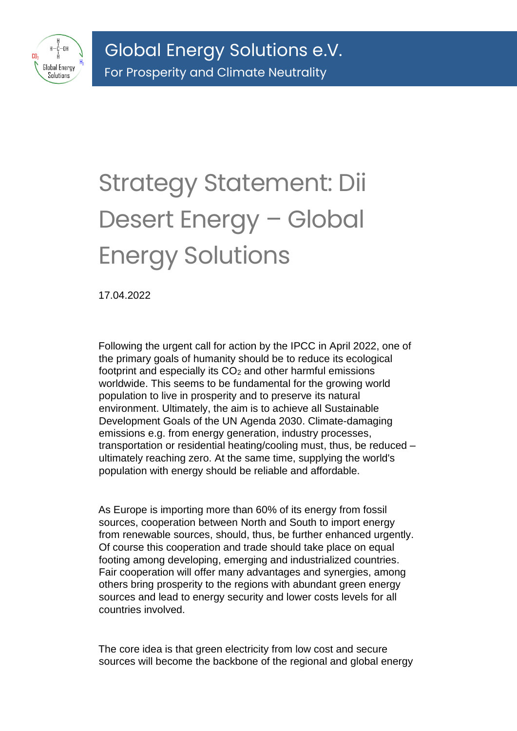

## Strategy Statement: Dii Desert Energy – Global Energy Solutions

17.04.2022

Following the urgent call for action by the IPCC in April 2022, one of the primary goals of humanity should be to reduce its ecological footprint and especially its CO<sub>2</sub> and other harmful emissions worldwide. This seems to be fundamental for the growing world population to live in prosperity and to preserve its natural environment. Ultimately, the aim is to achieve all Sustainable Development Goals of the UN Agenda 2030. Climate-damaging emissions e.g. from energy generation, industry processes, transportation or residential heating/cooling must, thus, be reduced – ultimately reaching zero. At the same time, supplying the world's population with energy should be reliable and affordable.

As Europe is importing more than 60% of its energy from fossil sources, cooperation between North and South to import energy from renewable sources, should, thus, be further enhanced urgently. Of course this cooperation and trade should take place on equal footing among developing, emerging and industrialized countries. Fair cooperation will offer many advantages and synergies, among others bring prosperity to the regions with abundant green energy sources and lead to energy security and lower costs levels for all countries involved.

The core idea is that green electricity from low cost and secure sources will become the backbone of the regional and global energy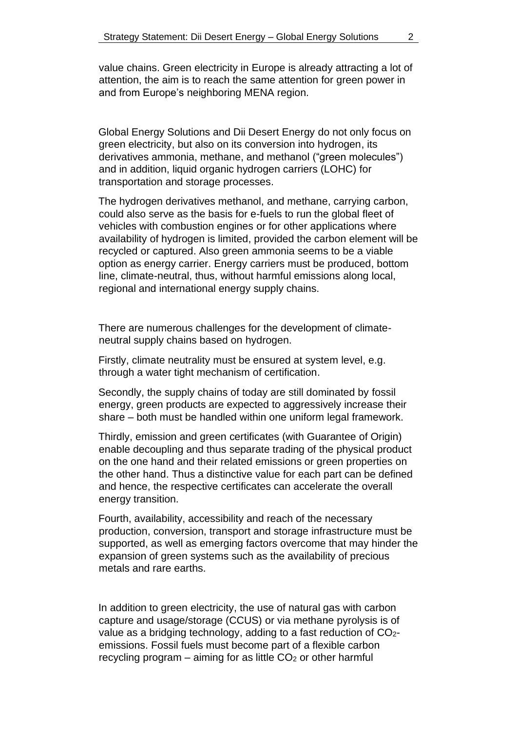value chains. Green electricity in Europe is already attracting a lot of attention, the aim is to reach the same attention for green power in and from Europe's neighboring MENA region.

Global Energy Solutions and Dii Desert Energy do not only focus on green electricity, but also on its conversion into hydrogen, its derivatives ammonia, methane, and methanol ("green molecules") and in addition, liquid organic hydrogen carriers (LOHC) for transportation and storage processes.

The hydrogen derivatives methanol, and methane, carrying carbon, could also serve as the basis for e-fuels to run the global fleet of vehicles with combustion engines or for other applications where availability of hydrogen is limited, provided the carbon element will be recycled or captured. Also green ammonia seems to be a viable option as energy carrier. Energy carriers must be produced, bottom line, climate-neutral, thus, without harmful emissions along local, regional and international energy supply chains.

There are numerous challenges for the development of climateneutral supply chains based on hydrogen.

Firstly, climate neutrality must be ensured at system level, e.g. through a water tight mechanism of certification.

Secondly, the supply chains of today are still dominated by fossil energy, green products are expected to aggressively increase their share – both must be handled within one uniform legal framework.

Thirdly, emission and green certificates (with Guarantee of Origin) enable decoupling and thus separate trading of the physical product on the one hand and their related emissions or green properties on the other hand. Thus a distinctive value for each part can be defined and hence, the respective certificates can accelerate the overall energy transition.

Fourth, availability, accessibility and reach of the necessary production, conversion, transport and storage infrastructure must be supported, as well as emerging factors overcome that may hinder the expansion of green systems such as the availability of precious metals and rare earths.

In addition to green electricity, the use of natural gas with carbon capture and usage/storage (CCUS) or via methane pyrolysis is of value as a bridging technology, adding to a fast reduction of CO<sub>2</sub>emissions. Fossil fuels must become part of a flexible carbon recycling program  $-$  aiming for as little  $CO<sub>2</sub>$  or other harmful